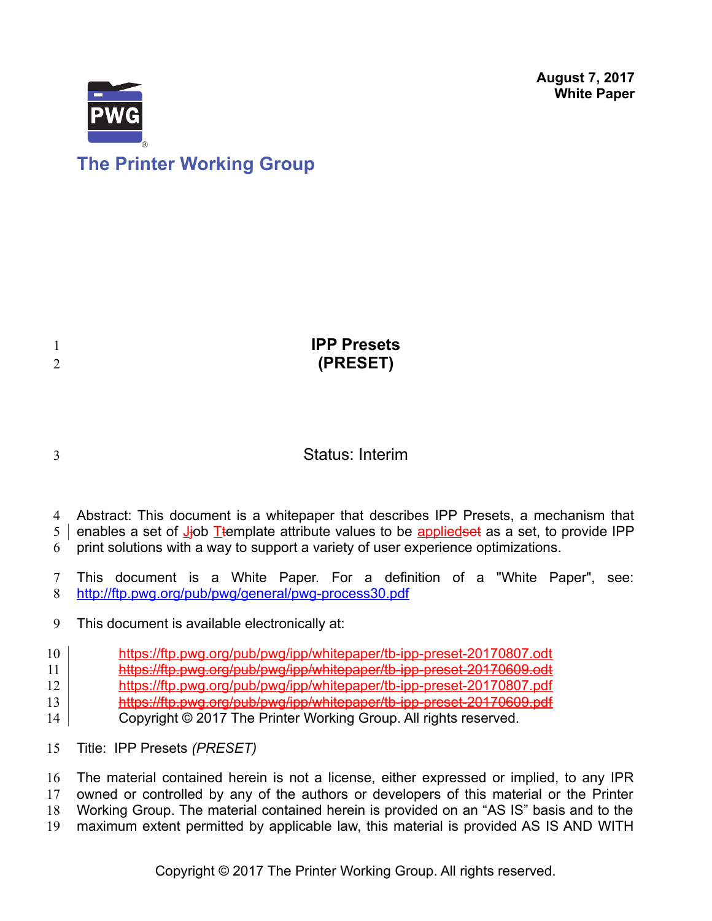**August 7, 2017 White Paper**



| <b>IPP Presets</b><br>(PRESET) |
|--------------------------------|
|                                |

### Status: Interim

Abstract: This document is a whitepaper that describes IPP Presets, a mechanism that 4

enables a set of Jjob Ttemplate attribute values to be applied set as a set, to provide IPP  $5<sup>1</sup>$ 

print solutions with a way to support a variety of user experience optimizations. 6

This document is a White Paper. For a definition of a "White Paper", see: <http://ftp.pwg.org/pub/pwg/general/pwg-process30.pdf> 7 8

This document is available electronically at: 9

<https://ftp.pwg.org/pub/pwg/ipp/whitepaper/tb-ipp-preset-20170807.odt> 10

- <https://ftp.pwg.org/pub/pwg/ipp/whitepaper/tb-ipp-preset-20170609.odt> 11
- <https://ftp.pwg.org/pub/pwg/ipp/whitepaper/tb-ipp-preset-20170807.pdf> 12
- <https://ftp.pwg.org/pub/pwg/ipp/whitepaper/tb-ipp-preset-20170609.pdf> 13
- Copyright © 2017 The Printer Working Group. All rights reserved. 14
- Title: IPP Presets *(PRESET)* 15

The material contained herein is not a license, either expressed or implied, to any IPR owned or controlled by any of the authors or developers of this material or the Printer Working Group. The material contained herein is provided on an "AS IS" basis and to the maximum extent permitted by applicable law, this material is provided AS IS AND WITH 16 17 18 19

3

1 2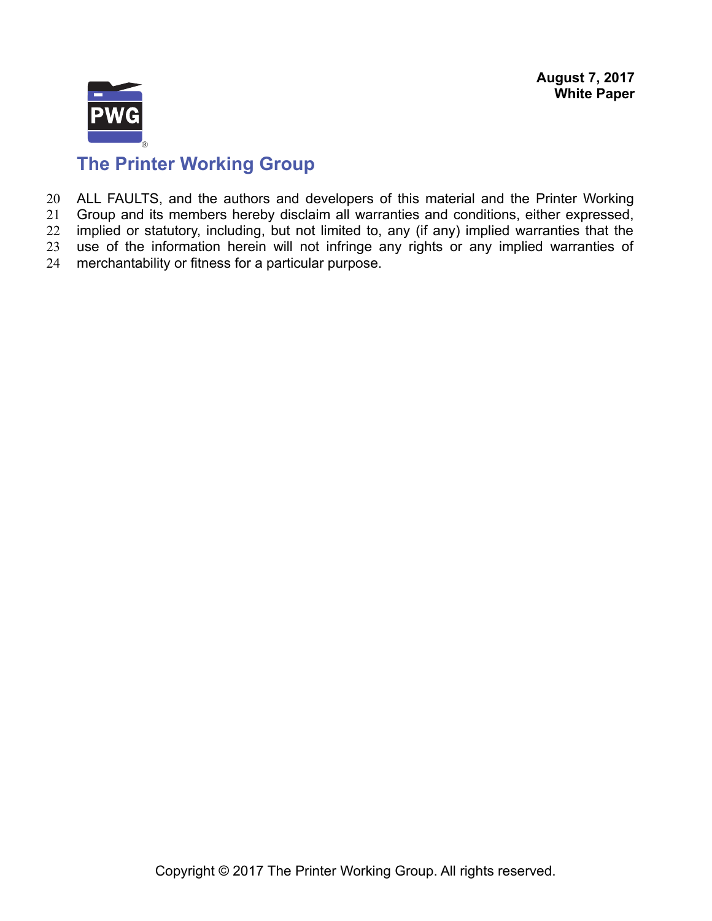

# **The Printer Working Group**

ALL FAULTS, and the authors and developers of this material and the Printer Working 20

Group and its members hereby disclaim all warranties and conditions, either expressed, implied or statutory, including, but not limited to, any (if any) implied warranties that the 21 22

use of the information herein will not infringe any rights or any implied warranties of 23

merchantability or fitness for a particular purpose. 24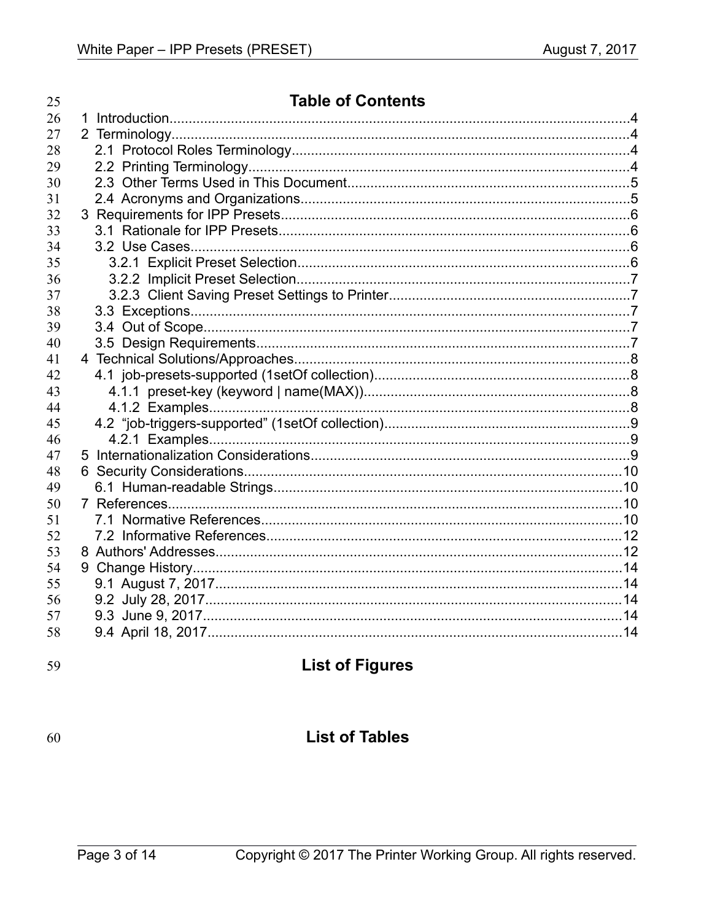| 25 | <b>Table of Contents</b> |  |  |
|----|--------------------------|--|--|
| 26 |                          |  |  |
| 27 |                          |  |  |
| 28 |                          |  |  |
| 29 |                          |  |  |
| 30 |                          |  |  |
| 31 |                          |  |  |
| 32 |                          |  |  |
| 33 |                          |  |  |
| 34 |                          |  |  |
| 35 |                          |  |  |
| 36 |                          |  |  |
| 37 |                          |  |  |
| 38 |                          |  |  |
| 39 |                          |  |  |
| 40 |                          |  |  |
| 41 |                          |  |  |
| 42 |                          |  |  |
| 43 |                          |  |  |
| 44 |                          |  |  |
| 45 |                          |  |  |
| 46 |                          |  |  |
| 47 |                          |  |  |
| 48 |                          |  |  |
| 49 |                          |  |  |
| 50 |                          |  |  |
| 51 |                          |  |  |
| 52 |                          |  |  |
| 53 |                          |  |  |
| 54 |                          |  |  |
| 55 |                          |  |  |
| 56 |                          |  |  |
| 57 |                          |  |  |
| 58 |                          |  |  |
|    |                          |  |  |

59

## **List of Figures**

60

### **List of Tables**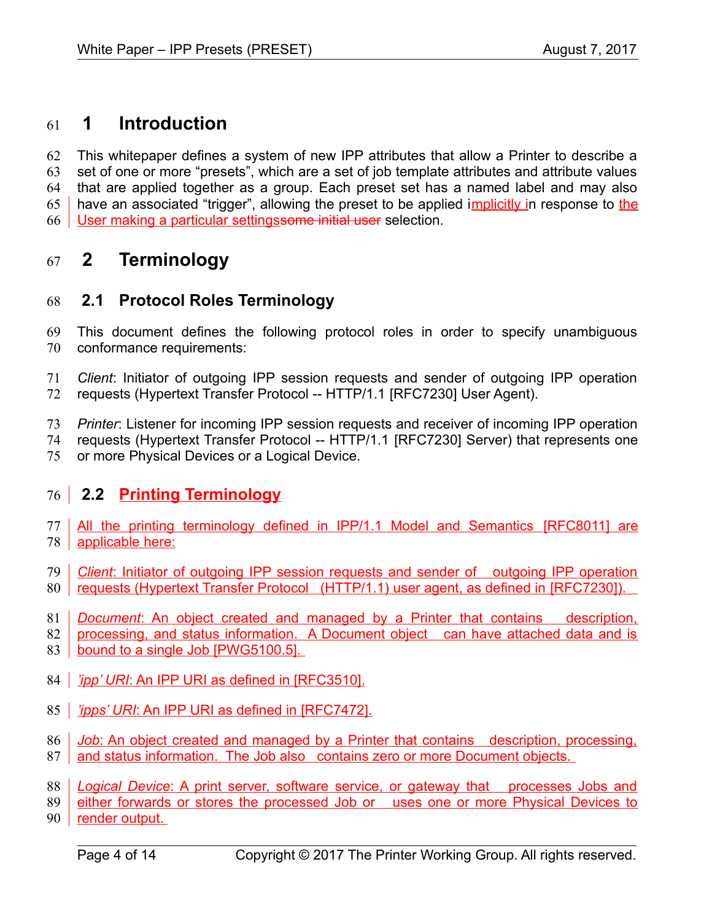#### **1 Introduction** 61

This whitepaper defines a system of new IPP attributes that allow a Printer to describe a set of one or more "presets", which are a set of job template attributes and attribute values that are applied together as a group. Each preset set has a named label and may also have an associated "trigger", allowing the preset to be applied implicitly in response to the User making a particular settingssome initial user selection. 62 63 64 65 66

#### **2 Terminology** 67

#### **2.1 Protocol Roles Terminology** 68

This document defines the following protocol roles in order to specify unambiguous conformance requirements: 69 70

- *Client*: Initiator of outgoing IPP session requests and sender of outgoing IPP operation 71
- requests (Hypertext Transfer Protocol -- HTTP/1.1 [\[RFC7230\]](#page-11-0) User Agent). 72

*Printer*: Listener for incoming IPP session requests and receiver of incoming IPP operation requests (Hypertext Transfer Protocol -- HTTP/1.1 [\[RFC7230\]](#page-11-0) Server) that represents one 73 74

or more Physical Devices or a Logical Device. 75

### **2.2 Printing Terminology** 76

- All the printing terminology defined in IPP/1.1 Model and Semantics [\[RFC8011\]](#page-11-2) are applicable here: 77 78
- *Client*: Initiator of outgoing IPP session requests and sender of outgoing IPP operation 80 | requests (Hypertext Transfer Protocol (HTTP/1.1) user agent, as defined in [\[RFC7230\]\)](#page-11-0). 79
- **Document:** An object created and managed by a Printer that contains description, 81
- processing, and status information. A Document object can have attached data and is 82
- bound to a single Job [PWG5100.5]. 83
- 84 | *'ipp' URI*: An IPP URI as defined in [\[RFC3510\].](#page-10-0)
- 85 | *'ipps' URI*: An IPP URI as defined in [\[RFC7472\].](#page-11-1)
- *Job*: An object created and managed by a Printer that contains description, processing, 86
- and status information. The Job also contains zero or more Document objects. 87
- **Logical Device: A print server, software service, or gateway that processes Jobs and** 88
- either forwards or stores the processed Job or uses one or more Physical Devices to 89
- 90 <u>render output.</u>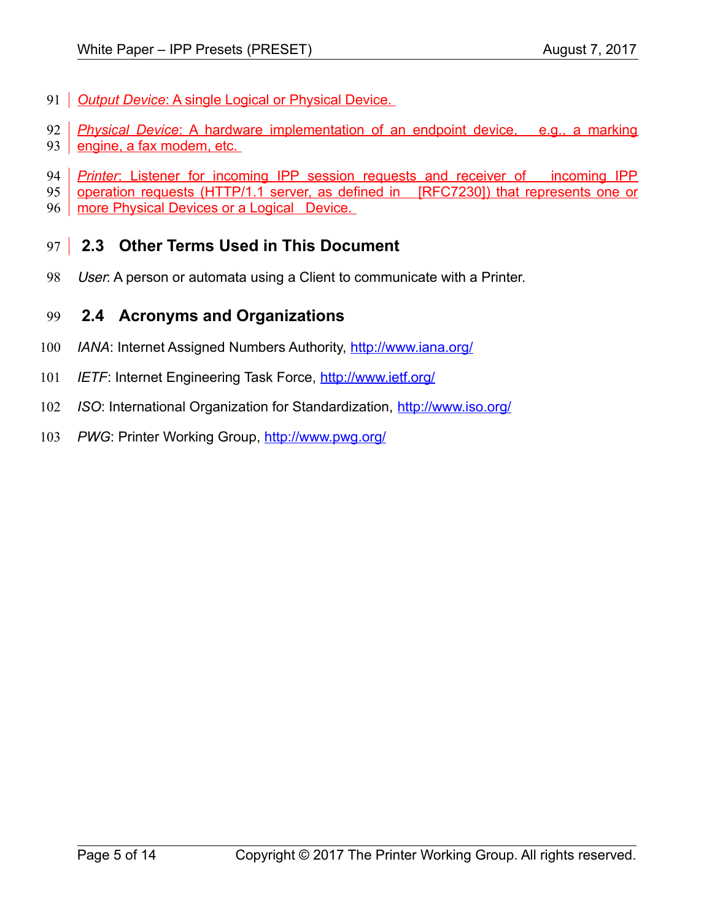- 91 **Output Device: A single Logical or Physical Device.**
- *Physical Device*: A hardware implementation of an endpoint device, e.g., a marking 92
- engine, a fax modem, etc. 93
- *Printer*: Listener for incoming IPP session requests and receiver of incoming IPP 94
- operation requests (HTTP/1.1 server, as defined in [\[RFC7230\]\)](#page-11-0) that represents one or 95
- more Physical Devices or a Logical Device. 96

#### **2.3 Other Terms Used in This Document** 97

User: A person or automata using a Client to communicate with a Printer. 98

#### **2.4 Acronyms and Organizations** 99

- *IANA*: Internet Assigned Numbers Authority,<http://www.iana.org/> 100
- *IETF*: Internet Engineering Task Force,<http://www.ietf.org/> 101
- *ISO*: International Organization for Standardization,<http://www.iso.org/> 102
- PWG: Printer Working Group,<http://www.pwg.org/> 103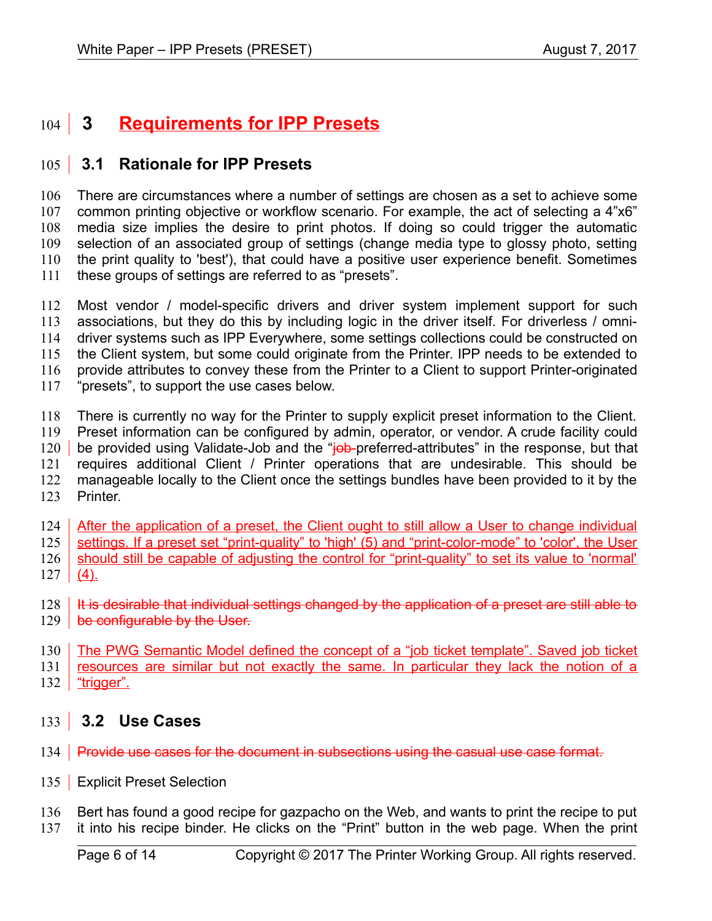#### **Requirements for IPP Presets**  $104$  3

#### **3.1 Rationale for IPP Presets**  $105$

There are circumstances where a number of settings are chosen as a set to achieve some common printing objective or workflow scenario. For example, the act of selecting a 4"x6" media size implies the desire to print photos. If doing so could trigger the automatic selection of an associated group of settings (change media type to glossy photo, setting the print quality to 'best'), that could have a positive user experience benefit. Sometimes these groups of settings are referred to as "presets". 106 107 108 109 110 111

Most vendor / model-specific drivers and driver system implement support for such associations, but they do this by including logic in the driver itself. For driverless / omnidriver systems such as IPP Everywhere, some settings collections could be constructed on the Client system, but some could originate from the Printer. IPP needs to be extended to provide attributes to convey these from the Printer to a Client to support Printer-originated "presets", to support the use cases below. 112 113 114 115 116 117

There is currently no way for the Printer to supply explicit preset information to the Client. Preset information can be configured by admin, operator, or vendor. A crude facility could be provided using Validate-Job and the "job-preferred-attributes" in the response, but that requires additional Client / Printer operations that are undesirable. This should be manageable locally to the Client once the settings bundles have been provided to it by the Printer. 118 119 120 121 122 123

After the application of a preset, the Client ought to still allow a User to change individual 124

settings. If a preset set "print-quality" to 'high' (5) and "print-color-mode" to 'color', the User should still be capable of adjusting the control for "print-quality" to set its value to 'normal' 125 126

 $(4)$ . 127

It is desirable that individual settings changed by the application of a preset are still able to 129 **be configurable by the User.** 128

The PWG Semantic Model defined the concept of a "job ticket template". Saved job ticket 130

resources are similar but not exactly the same. In particular they lack the notion of a 131

"trigger". 132

#### **3.2 Use Cases** 133

- 134 **Provide use cases for the document in subsections using the casual use case format.**
- 135 | Explicit Preset Selection
- Bert has found a good recipe for gazpacho on the Web, and wants to print the recipe to put 136
- it into his recipe binder. He clicks on the "Print" button in the web page. When the print 137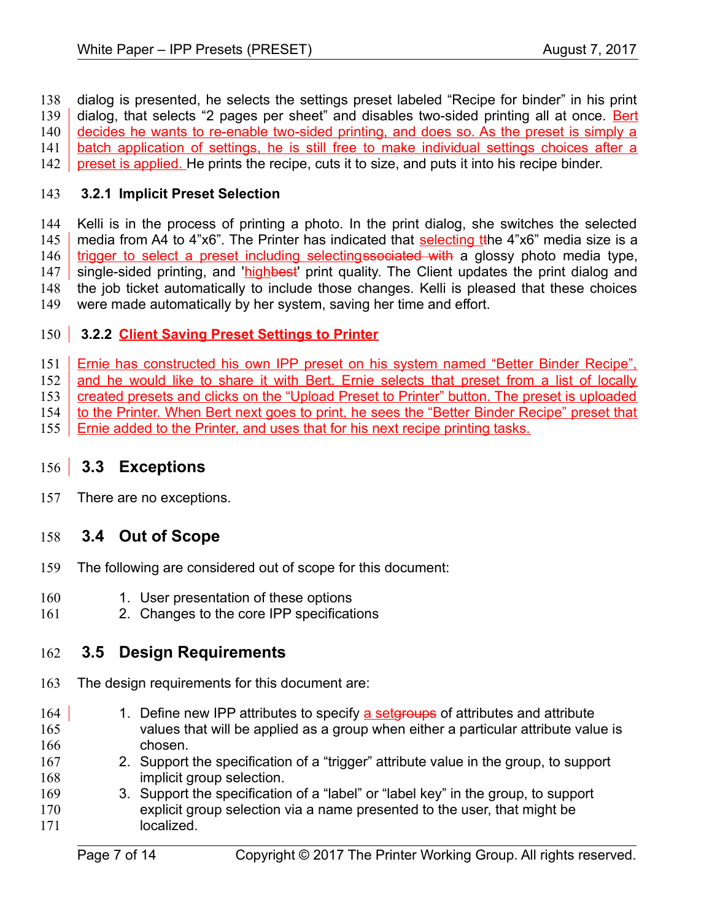dialog is presented, he selects the settings preset labeled "Recipe for binder" in his print dialog, that selects "2 pages per sheet" and disables two-sided printing all at once. Bert decides he wants to re-enable two-sided printing, and does so. As the preset is simply a batch application of settings, he is still free to make individual settings choices after a preset is applied. He prints the recipe, cuts it to size, and puts it into his recipe binder. 138 139 140 141 142

#### **3.2.1 Implicit Preset Selection** 143

Kelli is in the process of printing a photo. In the print dialog, she switches the selected media from A4 to 4"x6". The Printer has indicated that selecting tthe 4"x6" media size is a trigger to select a preset including selectingssociated with a glossy photo media type, single-sided printing, and 'highbest' print quality. The Client updates the print dialog and the job ticket automatically to include those changes. Kelli is pleased that these choices were made automatically by her system, saving her time and effort. 144 145 146 147 148 149

#### **3.2.2 Client Saving Preset Settings to Printer** 150

Ernie has constructed his own IPP preset on his system named "Better Binder Recipe", 151

and he would like to share it with Bert. Ernie selects that preset from a list of locally 152

created presets and clicks on the "Upload Preset to Printer" button. The preset is uploaded 153

- to the Printer. When Bert next goes to print, he sees the "Better Binder Recipe" preset that 154
- Ernie added to the Printer, and uses that for his next recipe printing tasks. 155

#### **3.3 Exceptions** 156

There are no exceptions. 157

#### **3.4 Out of Scope** 158

- The following are considered out of scope for this document: 159
- 1. User presentation of these options 160
- 2. Changes to the core IPP specifications 161

#### **3.5 Design Requirements** 162

- The design requirements for this document are: 163
- 1. Define new IPP attributes to specify a setgroups of attributes and attribute values that will be applied as a group when either a particular attribute value is chosen. 164 165 166
- 2. Support the specification of a "trigger" attribute value in the group, to support implicit group selection. 167 168
- 3. Support the specification of a "label" or "label key" in the group, to support explicit group selection via a name presented to the user, that might be localized. 169 170 171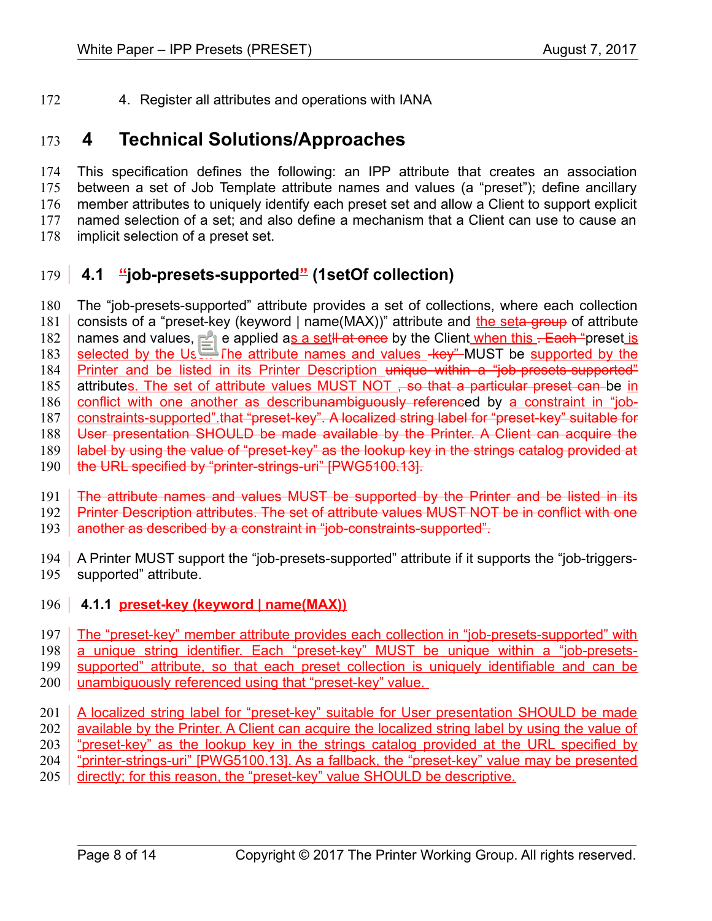4. Register all attributes and operations with IANA 172

#### **4 Technical Solutions/Approaches** 173

This specification defines the following: an IPP attribute that creates an association between a set of Job Template attribute names and values (a "preset"); define ancillary member attributes to uniquely identify each preset set and allow a Client to support explicit named selection of a set; and also define a mechanism that a Client can use to cause an implicit selection of a preset set. 174 175 176 177 178

#### **4.1 "job-presets-supported" (1setOf collection)** 179

The "job-presets-supported" attribute provides a set of collections, where each collection consists of a "preset-key (keyword | name(MAX))" attribute and the seta group of attribute names and values, to be applied as a set<sup>[|</sup> at once by the Client when this . Each "preset is selected by the User. The attribute names and values -key" MUST be supported by the Printer and be listed in its Printer Description unique within a "job-presets-supported" attributes. The set of attribute values MUST NOT  $\div$  so that a particular preset can be in conflict with one another as describunambiguously referenced by a constraint in "jobconstraints-supported".that "preset-key". A localized string label for "preset-key" suitable for User presentation SHOULD be made available by the Printer. A Client can acquire the label by using the value of "preset-key" as the lookup key in the strings catalog provided at the URL specified by "printer-strings-uri" [\[PWG5100.13\].](#page-10-1) 180 181 182 183 184 185 186 187 188 189 190

The attribute names and values MUST be supported by the Printer and be listed in its Printer Description attributes. The set of attribute values MUST NOT be in conflict with one 191 192

another as described by a constraint in "job-constraints-supported". 193

- 194 A Printer MUST support the "job-presets-supported" attribute if it supports the "job-triggerssupported" attribute. 195
- <span id="page-7-0"></span>196 **4.1.1 preset-key (keyword | name(MAX))**

The "preset-key" member attribute provides each collection in "job-presets-supported" with a unique string identifier. Each "preset-key" MUST be unique within a "job-presetssupported" attribute, so that each preset collection is uniquely identifiable and can be 197 198 199

- unambiguously referenced using that "preset-key" value. 200
- A localized string label for "preset-key" suitable for User presentation SHOULD be made available by the Printer. A Client can acquire the localized string label by using the value of "preset-key" as the lookup key in the strings catalog provided at the URL specified by "printer-strings-uri" [\[PWG5100.13\].](#page-10-1) As a fallback, the "preset-key" value may be presented directly; for this reason, the "preset-key" value SHOULD be descriptive. 201 202 203 204 205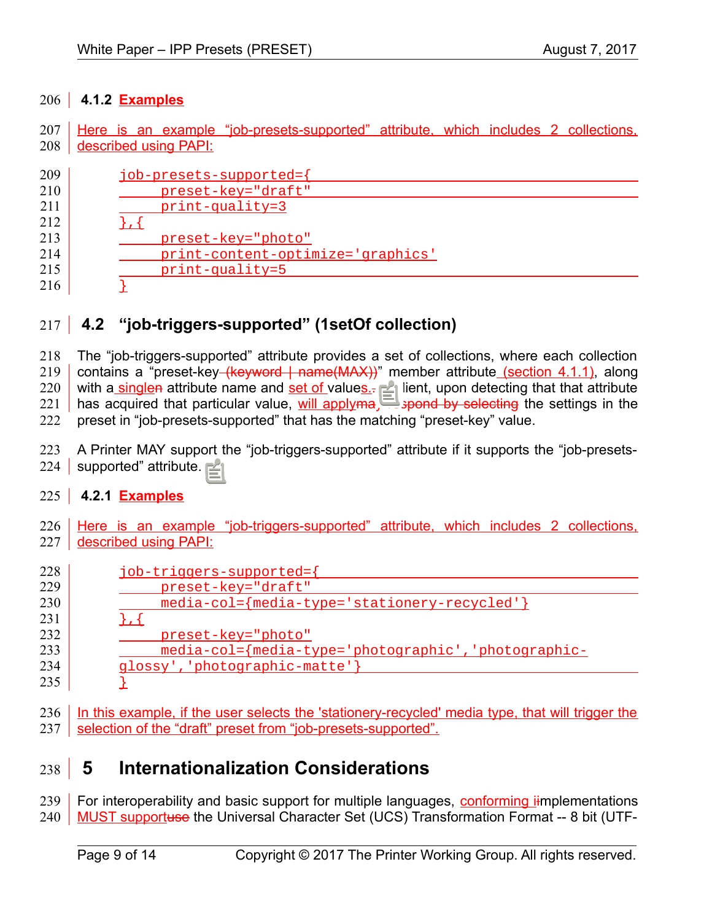### **4.1.2 Examples** 206

Here is an example "job-presets-supported" attribute, which includes 2 collections, 208 aldescribed using PAPI:  $207 \mid$ 

| 209 | job-presets-supported={           |
|-----|-----------------------------------|
| 210 | preset-key="draft"                |
| 211 | $print-quality=3$                 |
| 212 |                                   |
| 213 | preset-key="photo"                |
| 214 | print-content-optimize='graphics' |
| 215 | $print-quality=5$                 |
| 216 |                                   |

#### **4.2 "job-triggers-supported" (1setOf collection)** 217

The "job-triggers-supported" attribute provides a set of collections, where each collection contains a "preset-key (keyword | name(MAX))" member attribute (section [4.1.1\)](#page-7-0), along with a singlen attribute name and set of values.- A Client, upon detecting that that attribute has acquired that particular value, will apply may respond by selecting the settings in the preset in "job-presets-supported" that has the matching "preset-key" value. 218 219 220 221 222

A Printer MAY support the "job-triggers-supported" attribute if it supports the "job-presets-224 | supported" attribute. 223

### **4.2.1 Examples** 225

226 Here is an example "job-triggers-supported" attribute, which includes 2 collections, described using PAPI: 227

| 228 | job-triggers-supported={                            |
|-----|-----------------------------------------------------|
| 229 | preset-key="draft"                                  |
| 230 | media-col={media-type='stationery-recycled'}        |
| 231 |                                                     |
| 232 | preset-key="photo"                                  |
| 233 | media-col={media-type='photographic','photographic- |
| 234 | glossy', 'photographic-matte'}                      |
| 235 |                                                     |

236 | In this example, if the user selects the 'stationery-recycled' media type, that will trigger the 237 Selection of the "draft" preset from "job-presets-supported".

#### **5 Internationalization Considerations** 238

For interoperability and basic support for multiple languages, conforming iimplementations MUST supportuse the Universal Character Set (UCS) Transformation Format -- 8 bit (UTF-239 240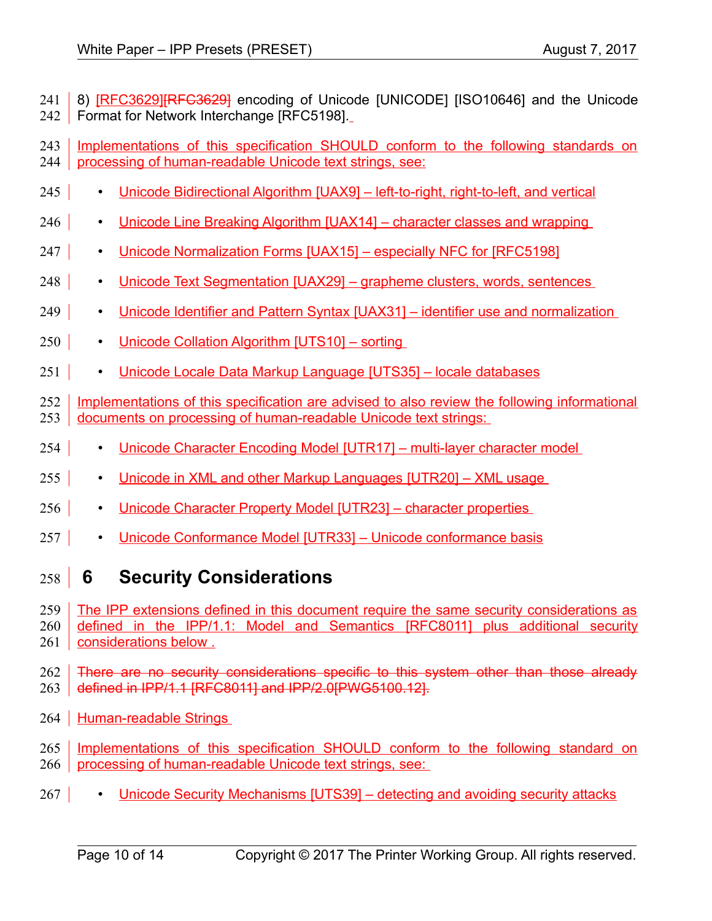8) [RFC3629[\]\[RFC3629\]](#page-10-3) encoding of Unicode [\[UNICODE\]](#page-11-10) [\[ISO10646\]](#page-10-5) and the Unicode Format for Network Interchange [\[RFC5198\].](#page-10-4) 241 242

Implementations of this specification SHOULD conform to the following standards on processing of human-readable Unicode text strings, see: 243 244

- 
- Unicode Bidirectional Algorithm [\[UAX9\]](#page-11-9)  left-to-right, right-to-left, and vertical  $245$
- Unicode Line Breaking Algorithm [\[UAX14\]](#page-11-8)  character classes and wrapping 246
- Unicode Normalization Forms [\[UAX15\]](#page-11-7)  especially NFC for [\[RFC5198\]](#page-10-4) 247 |
- Unicode Text Segmentation [\[UAX29\]](#page-11-6)  grapheme clusters, words, sentences 248
- Unicode Identifier and Pattern Syntax [\[UAX31\]](#page-11-5)  identifier use and normalization 249
- Unicode Collation Algorithm [\[UTS10\]](#page-11-4)  sorting  $250 \text{ }$
- Unicode Locale Data Markup Language [\[UTS35\]](#page-11-3)  locale databases 251
- Implementations of this specification are advised to also review the following informational documents on processing of human-readable Unicode text strings: 252 253
- Unicode Character Encoding Model [\[UTR17\]](#page-12-4)  multi-layer character model 254
- Unicode in XML and other Markup Languages [\[UTR20\]](#page-12-3)  XML usage  $255$
- Unicode Character Property Model [\[UTR23\]](#page-12-2)  character properties 256
- Unicode Conformance Model [\[UTR33\]](#page-12-1)  Unicode conformance basis 257

### **6 Security Considerations** 258

- The IPP extensions defined in this document require the same security considerations as 259
- defined in the IPP/1.1: Model and Semantics [\[RFC8011\]](#page-11-2) plus additional security considerations below . 260 261

There are no security considerations specific to this system other than those already defined in IPP/1.1 [\[RFC8011\]](#page-11-2) and IPP/2.[0\[PWG5100.12\].](#page-10-2) 262 263

- 264 | Human-readable Strings
- Implementations of this specification SHOULD conform to the following standard on processing of human-readable Unicode text strings, see: 265 266
- Unicode Security Mechanisms [\[UTS39\]](#page-12-0)  detecting and avoiding security attacks  $267 \mid$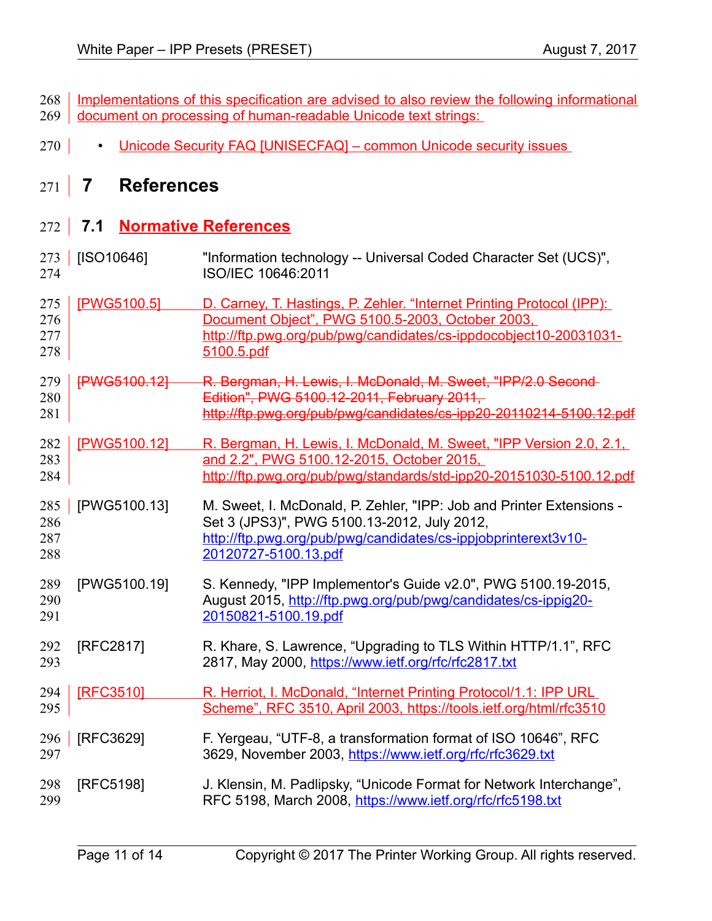| 268   Implementations of this specification are advised to also review the following informational |
|----------------------------------------------------------------------------------------------------|
| 269 <u>document on processing of human-readable Unicode text strings:</u>                          |

270 **• Unicode Security FAQ [\[UNISECFAQ\]](#page-12-5) – common Unicode security issues** 

## **7 References** 271

### **7.1 Normative References** 272

<span id="page-10-5"></span><span id="page-10-4"></span><span id="page-10-3"></span><span id="page-10-2"></span><span id="page-10-1"></span><span id="page-10-0"></span>

| 273<br>274               | [ISO10646]          | "Information technology -- Universal Coded Character Set (UCS)",<br>ISO/IEC 10646:2011                                                                                                                        |
|--------------------------|---------------------|---------------------------------------------------------------------------------------------------------------------------------------------------------------------------------------------------------------|
| 275<br>276<br>277<br>278 | [PWG5100.5]         | D. Carney, T. Hastings, P. Zehler. "Internet Printing Protocol (IPP):<br>Document Object", PWG 5100.5-2003, October 2003,<br>http://ftp.pwg.org/pub/pwg/candidates/cs-ippdocobject10-20031031-<br>5100.5.pdf  |
| 279<br>280<br>281        | <b>FPWG5100.127</b> | R. Bergman, H. Lewis, I. McDonald, M. Sweet, "IPP/2.0 Second-<br>Edition", PWG 5100.12-2011, February 2011,<br>http://ftp.pwg.org/pub/pwg/candidates/cs-ipp20-20110214-5100.12.pdf                            |
| 282<br>283<br>284        | [PWG5100.12]        | R. Bergman, H. Lewis, I. McDonald, M. Sweet, "IPP Version 2.0, 2.1,<br>and 2.2", PWG 5100.12-2015, October 2015,<br>http://ftp.pwg.org/pub/pwg/standards/std-ipp20-20151030-5100.12.pdf                       |
| 285<br>286<br>287<br>288 | [PWG5100.13]        | M. Sweet, I. McDonald, P. Zehler, "IPP: Job and Printer Extensions -<br>Set 3 (JPS3)", PWG 5100.13-2012, July 2012,<br>http://ftp.pwg.org/pub/pwg/candidates/cs-ippjobprinterext3v10-<br>20120727-5100.13.pdf |
| 289<br>290<br>291        | [PWG5100.19]        | S. Kennedy, "IPP Implementor's Guide v2.0", PWG 5100.19-2015,<br>August 2015, http://ftp.pwg.org/pub/pwg/candidates/cs-ippig20-<br>20150821-5100.19.pdf                                                       |
| 292<br>293               | [RFC2817]           | R. Khare, S. Lawrence, "Upgrading to TLS Within HTTP/1.1", RFC<br>2817, May 2000, https://www.ietf.org/rfc/rfc2817.txt                                                                                        |
| 294<br>295               | <b>IRFC35101</b>    | R. Herriot, I. McDonald, "Internet Printing Protocol/1.1: IPP URL<br>Scheme", RFC 3510, April 2003, https://tools.ietf.org/html/rfc3510                                                                       |
| 296<br>297               | [RFC3629]           | F. Yergeau, "UTF-8, a transformation format of ISO 10646", RFC<br>3629, November 2003, https://www.ietf.org/rfc/rfc3629.txt                                                                                   |
| 298<br>299               | [RFC5198]           | J. Klensin, M. Padlipsky, "Unicode Format for Network Interchange",<br>RFC 5198, March 2008, https://www.ietf.org/rfc/rfc5198.txt                                                                             |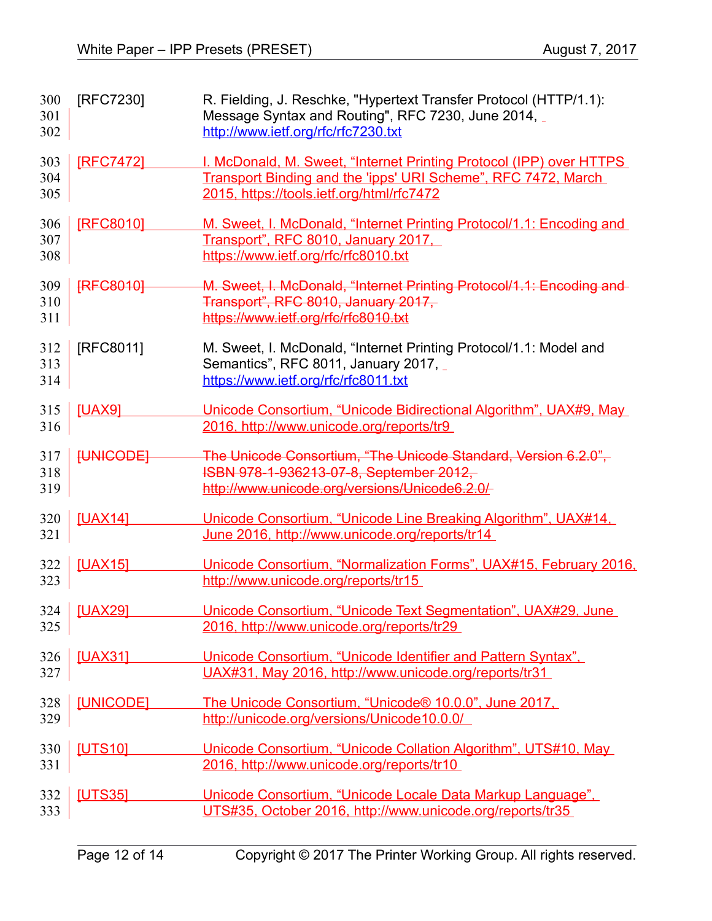<span id="page-11-10"></span><span id="page-11-9"></span><span id="page-11-8"></span><span id="page-11-7"></span><span id="page-11-6"></span><span id="page-11-5"></span><span id="page-11-4"></span><span id="page-11-3"></span><span id="page-11-2"></span><span id="page-11-1"></span><span id="page-11-0"></span>

| 300<br>301<br>302 | [RFC7230]        | R. Fielding, J. Reschke, "Hypertext Transfer Protocol (HTTP/1.1):<br>Message Syntax and Routing", RFC 7230, June 2014,<br>http://www.ietf.org/rfc/rfc7230.txt                     |
|-------------------|------------------|-----------------------------------------------------------------------------------------------------------------------------------------------------------------------------------|
| 303<br>304<br>305 | [RFC7472]        | I. McDonald, M. Sweet, "Internet Printing Protocol (IPP) over HTTPS<br>Transport Binding and the 'ipps' URI Scheme", RFC 7472, March<br>2015, https://tools.ietf.org/html/rfc7472 |
| 306<br>307<br>308 | [RFC8010]        | M. Sweet, I. McDonald, "Internet Printing Protocol/1.1: Encoding and<br>Transport", RFC 8010, January 2017,<br>https://www.ietf.org/rfc/rfc8010.txt                               |
| 309<br>310<br>311 | <b>[RFC8010]</b> | M. Sweet, I. McDonald, "Internet Printing Protocol/1.1: Encoding and<br>Transport", RFC 8010, January 2017,<br>https://www.ietf.org/rfc/rfc8010.txt                               |
| 312<br>313<br>314 | [RFC8011]        | M. Sweet, I. McDonald, "Internet Printing Protocol/1.1: Model and<br>Semantics", RFC 8011, January 2017,<br>https://www.ietf.org/rfc/rfc8011.txt                                  |
| 315<br>316        | <b>[UAX9]</b>    | Unicode Consortium, "Unicode Bidirectional Algorithm", UAX#9, May<br>2016, http://www.unicode.org/reports/tr9                                                                     |
| 317<br>318<br>319 | <b>HUNICODE!</b> | The Unicode Consortium, "The Unicode Standard, Version 6.2.0",<br>ISBN 978-1-936213-07-8, September 2012,<br>http://www.unicode.org/versions/Unicode6.2.0/                        |
| 320<br>321        | <b>[UAX14]</b>   | Unicode Consortium, "Unicode Line Breaking Algorithm", UAX#14,<br>June 2016, http://www.unicode.org/reports/tr14                                                                  |
| 322<br>323        | <b>[UAX15]</b>   | Unicode Consortium, "Normalization Forms", UAX#15, February 2016,<br>http://www.unicode.org/reports/tr15                                                                          |
| 325               | 324 [UAX29]      | Unicode Consortium, "Unicode Text Segmentation", UAX#29, June<br>2016, http://www.unicode.org/reports/tr29                                                                        |
| 326<br>327        | <b>[UAX31]</b>   | Unicode Consortium, "Unicode Identifier and Pattern Syntax",<br>UAX#31, May 2016, http://www.unicode.org/reports/tr31                                                             |
| 328<br>329        | [UNICODE]        | The Unicode Consortium, "Unicode® 10.0.0", June 2017,<br>http://unicode.org/versions/Unicode10.0.0/                                                                               |
| 330<br>331        | <b>[UTS10]</b>   | Unicode Consortium, "Unicode Collation Algorithm", UTS#10, May<br>2016, http://www.unicode.org/reports/tr10                                                                       |
| 332<br>333        | <b>[UTS35]</b>   | Unicode Consortium, "Unicode Locale Data Markup Language",<br>UTS#35, October 2016, http://www.unicode.org/reports/tr35                                                           |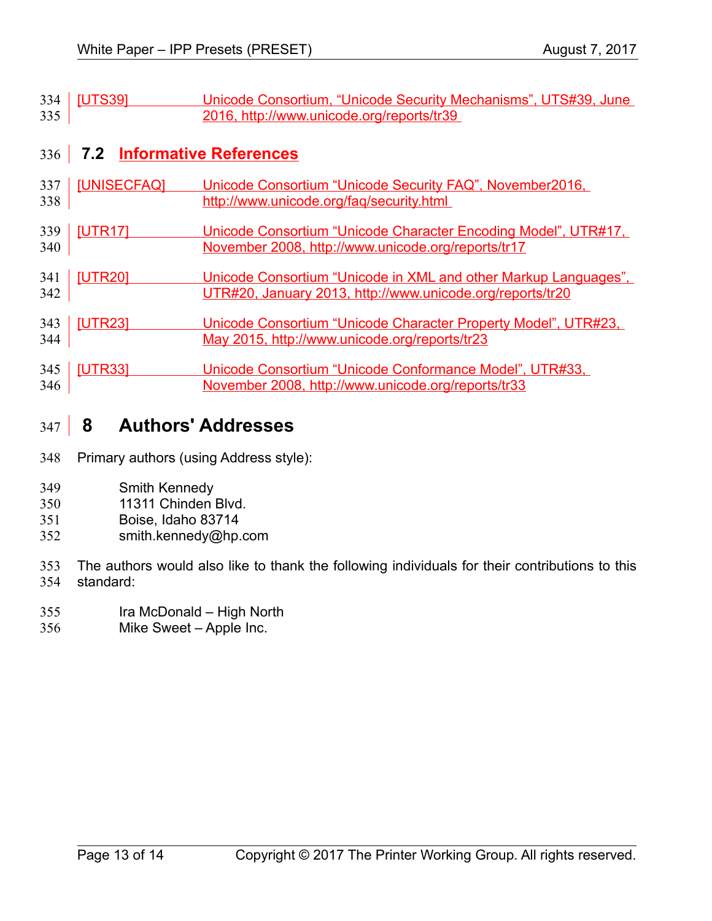<span id="page-12-0"></span>

|     | 334   <b>[UTS39]</b> | Unicode Consortium, "Unicode Security Mechanisms", UTS#39, June |
|-----|----------------------|-----------------------------------------------------------------|
| 335 |                      | 2016, http://www.unicode.org/reports/tr39                       |

### **7.2 Informative References** 336

<span id="page-12-5"></span>

|     | 337   [UNISECFAQ] | Unicode Consortium "Unicode Security FAQ", November 2016, |
|-----|-------------------|-----------------------------------------------------------|
| 338 |                   | http://www.unicode.org/fag/security.html                  |
|     |                   |                                                           |

- <span id="page-12-4"></span>[UTR17] Unicode Consortium "Unicode Character Encoding Model", UTR#17, November 2008,<http://www.unicode.org/reports/tr17> 339 340
- <span id="page-12-3"></span>[UTR20] Unicode Consortium "Unicode in XML and other Markup Languages", UTR#20, January 2013,<http://www.unicode.org/reports/tr20> 341 342
- <span id="page-12-2"></span>[UTR23] Unicode Consortium "Unicode Character Property Model", UTR#23, May 2015,<http://www.unicode.org/reports/tr23> 343 344
- <span id="page-12-1"></span>[UTR33] Unicode Consortium "Unicode Conformance Model", UTR#33, November 2008,<http://www.unicode.org/reports/tr33> 345 346

#### **8 Authors' Addresses** 347

- Primary authors (using Address style): 348
- Smith Kennedy 349
- 11311 Chinden Blvd. 350
- Boise, Idaho 83714 351
- smith.kennedy@hp.com 352
- The authors would also like to thank the following individuals for their contributions to this standard: 353 354
- Ira McDonald High North 355
- Mike Sweet Apple Inc. 356